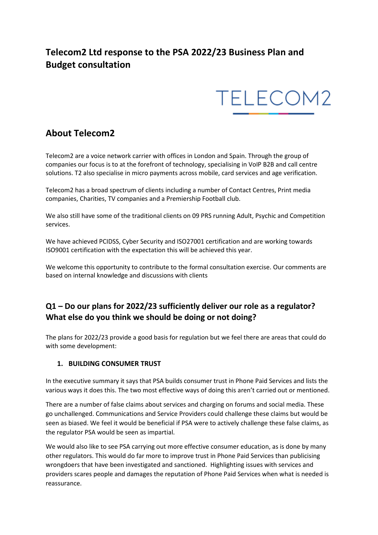# **Telecom2 Ltd response to the PSA 2022/23 Business Plan and Budget consultation**



# **About Telecom2**

Telecom2 are a voice network carrier with offices in London and Spain. Through the group of companies our focus is to at the forefront of technology, specialising in VoIP B2B and call centre solutions. T2 also specialise in micro payments across mobile, card services and age verification.

Telecom2 has a broad spectrum of clients including a number of Contact Centres, Print media companies, Charities, TV companies and a Premiership Football club.

We also still have some of the traditional clients on 09 PRS running Adult, Psychic and Competition services.

We have achieved PCIDSS, Cyber Security and ISO27001 certification and are working towards ISO9001 certification with the expectation this will be achieved this year.

We welcome this opportunity to contribute to the formal consultation exercise. Our comments are based on internal knowledge and discussions with clients

## **Q1 – Do our plans for 2022/23 sufficiently deliver our role as a regulator? What else do you think we should be doing or not doing?**

The plans for 2022/23 provide a good basis for regulation but we feel there are areas that could do with some development:

#### **1. BUILDING CONSUMER TRUST**

In the executive summary it says that PSA builds consumer trust in Phone Paid Services and lists the various ways it does this. The two most effective ways of doing this aren't carried out or mentioned.

There are a number of false claims about services and charging on forums and social media. These go unchallenged. Communications and Service Providers could challenge these claims but would be seen as biased. We feel it would be beneficial if PSA were to actively challenge these false claims, as the regulator PSA would be seen as impartial.

We would also like to see PSA carrying out more effective consumer education, as is done by many other regulators. This would do far more to improve trust in Phone Paid Services than publicising wrongdoers that have been investigated and sanctioned. Highlighting issues with services and providers scares people and damages the reputation of Phone Paid Services when what is needed is reassurance.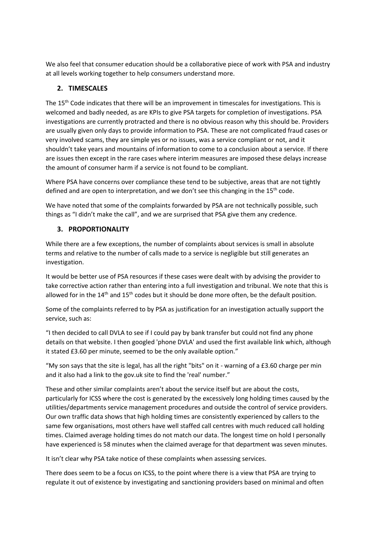We also feel that consumer education should be a collaborative piece of work with PSA and industry at all levels working together to help consumers understand more.

#### **2. TIMESCALES**

The 15th Code indicates that there will be an improvement in timescales for investigations. This is welcomed and badly needed, as are KPIs to give PSA targets for completion of investigations. PSA investigations are currently protracted and there is no obvious reason why this should be. Providers are usually given only days to provide information to PSA. These are not complicated fraud cases or very involved scams, they are simple yes or no issues, was a service compliant or not, and it shouldn't take years and mountains of information to come to a conclusion about a service. If there are issues then except in the rare cases where interim measures are imposed these delays increase the amount of consumer harm if a service is not found to be compliant.

Where PSA have concerns over compliance these tend to be subjective, areas that are not tightly defined and are open to interpretation, and we don't see this changing in the  $15<sup>th</sup>$  code.

We have noted that some of the complaints forwarded by PSA are not technically possible, such things as "I didn't make the call", and we are surprised that PSA give them any credence.

#### **3. PROPORTIONALITY**

While there are a few exceptions, the number of complaints about services is small in absolute terms and relative to the number of calls made to a service is negligible but still generates an investigation.

It would be better use of PSA resources if these cases were dealt with by advising the provider to take corrective action rather than entering into a full investigation and tribunal. We note that this is allowed for in the 14<sup>th</sup> and 15<sup>th</sup> codes but it should be done more often, be the default position.

Some of the complaints referred to by PSA as justification for an investigation actually support the service, such as:

"I then decided to call DVLA to see if I could pay by bank transfer but could not find any phone details on that website. I then googled 'phone DVLA' and used the first available link which, although it stated £3.60 per minute, seemed to be the only available option."

"My son says that the site is legal, has all the right "bits" on it - warning of a £3.60 charge per min and it also had a link to the gov.uk site to find the 'real' number."

These and other similar complaints aren't about the service itself but are about the costs, particularly for ICSS where the cost is generated by the excessively long holding times caused by the utilities/departments service management procedures and outside the control of service providers. Our own traffic data shows that high holding times are consistently experienced by callers to the same few organisations, most others have well staffed call centres with much reduced call holding times. Claimed average holding times do not match our data. The longest time on hold I personally have experienced is 58 minutes when the claimed average for that department was seven minutes.

It isn't clear why PSA take notice of these complaints when assessing services.

There does seem to be a focus on ICSS, to the point where there is a view that PSA are trying to regulate it out of existence by investigating and sanctioning providers based on minimal and often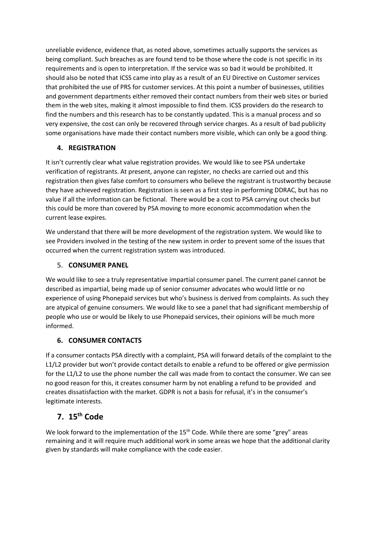unreliable evidence, evidence that, as noted above, sometimes actually supports the services as being compliant. Such breaches as are found tend to be those where the code is not specific in its requirements and is open to interpretation. If the service was so bad it would be prohibited. It should also be noted that ICSS came into play as a result of an EU Directive on Customer services that prohibited the use of PRS for customer services. At this point a number of businesses, utilities and government departments either removed their contact numbers from their web sites or buried them in the web sites, making it almost impossible to find them. ICSS providers do the research to find the numbers and this research has to be constantly updated. This is a manual process and so very expensive, the cost can only be recovered through service charges. As a result of bad publicity some organisations have made their contact numbers more visible, which can only be a good thing.

#### **4. REGISTRATION**

It isn't currently clear what value registration provides. We would like to see PSA undertake verification of registrants. At present, anyone can register, no checks are carried out and this registration then gives false comfort to consumers who believe the registrant is trustworthy because they have achieved registration. Registration is seen as a first step in performing DDRAC, but has no value if all the information can be fictional. There would be a cost to PSA carrying out checks but this could be more than covered by PSA moving to more economic accommodation when the current lease expires.

We understand that there will be more development of the registration system. We would like to see Providers involved in the testing of the new system in order to prevent some of the issues that occurred when the current registration system was introduced.

### 5. **CONSUMER PANEL**

We would like to see a truly representative impartial consumer panel. The current panel cannot be described as impartial, being made up of senior consumer advocates who would little or no experience of using Phonepaid services but who's business is derived from complaints. As such they are atypical of genuine consumers. We would like to see a panel that had significant membership of people who use or would be likely to use Phonepaid services, their opinions will be much more informed.

### **6. CONSUMER CONTACTS**

If a consumer contacts PSA directly with a complaint, PSA will forward details of the complaint to the L1/L2 provider but won't provide contact details to enable a refund to be offered or give permission for the L1/L2 to use the phone number the call was made from to contact the consumer. We can see no good reason for this, it creates consumer harm by not enabling a refund to be provided and creates dissatisfaction with the market. GDPR is not a basis for refusal, it's in the consumer's legitimate interests.

## **7. 15th Code**

We look forward to the implementation of the 15<sup>th</sup> Code. While there are some "grey" areas remaining and it will require much additional work in some areas we hope that the additional clarity given by standards will make compliance with the code easier.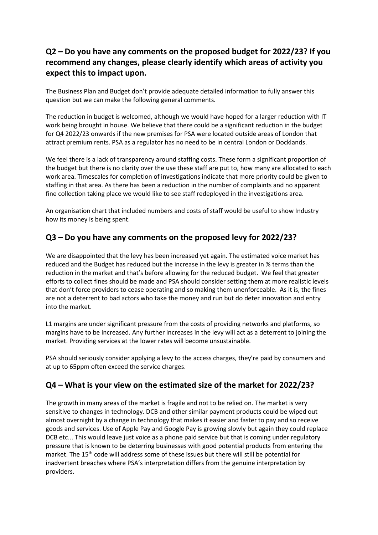## **Q2 – Do you have any comments on the proposed budget for 2022/23? If you recommend any changes, please clearly identify which areas of activity you expect this to impact upon.**

The Business Plan and Budget don't provide adequate detailed information to fully answer this question but we can make the following general comments.

The reduction in budget is welcomed, although we would have hoped for a larger reduction with IT work being brought in house. We believe that there could be a significant reduction in the budget for Q4 2022/23 onwards if the new premises for PSA were located outside areas of London that attract premium rents. PSA as a regulator has no need to be in central London or Docklands.

We feel there is a lack of transparency around staffing costs. These form a significant proportion of the budget but there is no clarity over the use these staff are put to, how many are allocated to each work area. Timescales for completion of investigations indicate that more priority could be given to staffing in that area. As there has been a reduction in the number of complaints and no apparent fine collection taking place we would like to see staff redeployed in the investigations area.

An organisation chart that included numbers and costs of staff would be useful to show Industry how its money is being spent.

### **Q3 – Do you have any comments on the proposed levy for 2022/23?**

We are disappointed that the levy has been increased yet again. The estimated voice market has reduced and the Budget has reduced but the increase in the levy is greater in % terms than the reduction in the market and that's before allowing for the reduced budget. We feel that greater efforts to collect fines should be made and PSA should consider setting them at more realistic levels that don't force providers to cease operating and so making them unenforceable. As it is, the fines are not a deterrent to bad actors who take the money and run but do deter innovation and entry into the market.

L1 margins are under significant pressure from the costs of providing networks and platforms, so margins have to be increased. Any further increases in the levy will act as a deterrent to joining the market. Providing services at the lower rates will become unsustainable.

PSA should seriously consider applying a levy to the access charges, they're paid by consumers and at up to 65ppm often exceed the service charges.

### **Q4 – What is your view on the estimated size of the market for 2022/23?**

The growth in many areas of the market is fragile and not to be relied on. The market is very sensitive to changes in technology. DCB and other similar payment products could be wiped out almost overnight by a change in technology that makes it easier and faster to pay and so receive goods and services. Use of Apple Pay and Google Pay is growing slowly but again they could replace DCB etc... This would leave just voice as a phone paid service but that is coming under regulatory pressure that is known to be deterring businesses with good potential products from entering the market. The 15<sup>th</sup> code will address some of these issues but there will still be potential for inadvertent breaches where PSA's interpretation differs from the genuine interpretation by providers.